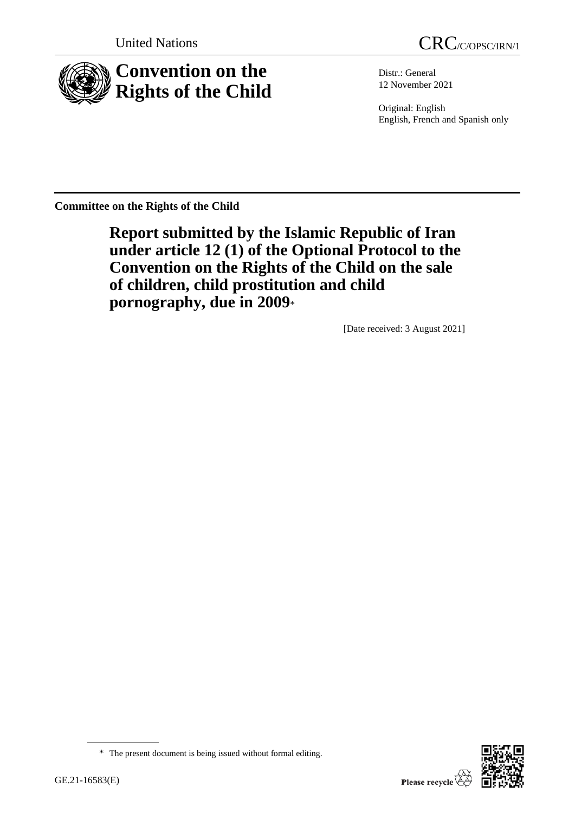



Distr.: General 12 November 2021

Original: English English, French and Spanish only

**Committee on the Rights of the Child**

**Report submitted by the Islamic Republic of Iran under article 12 (1) of the Optional Protocol to the Convention on the Rights of the Child on the sale of children, child prostitution and child pornography, due in 2009**\*

[Date received: 3 August 2021]

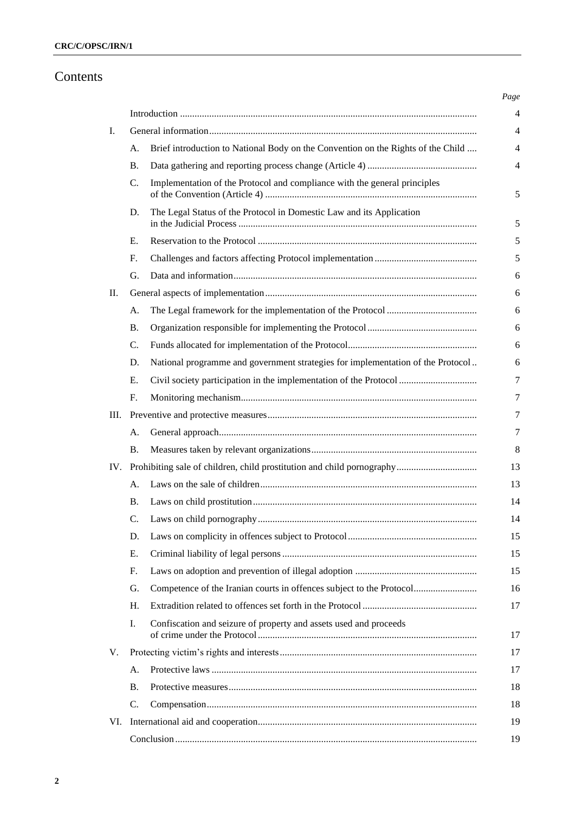# Contents

| I.  |                 |                                                                                  |  |  |  |
|-----|-----------------|----------------------------------------------------------------------------------|--|--|--|
|     | A.              | Brief introduction to National Body on the Convention on the Rights of the Child |  |  |  |
|     | <b>B.</b>       |                                                                                  |  |  |  |
|     | C.              | Implementation of the Protocol and compliance with the general principles        |  |  |  |
|     | D.              | The Legal Status of the Protocol in Domestic Law and its Application             |  |  |  |
|     | Е.              |                                                                                  |  |  |  |
|     | $F_{\cdot}$     |                                                                                  |  |  |  |
|     | G.              |                                                                                  |  |  |  |
| II. |                 |                                                                                  |  |  |  |
|     | А.              |                                                                                  |  |  |  |
|     | <b>B.</b>       |                                                                                  |  |  |  |
|     | $\mathcal{C}$ . |                                                                                  |  |  |  |
|     | D.              | National programme and government strategies for implementation of the Protocol  |  |  |  |
|     | Е.              | Civil society participation in the implementation of the Protocol                |  |  |  |
|     | F.              |                                                                                  |  |  |  |
| Ш.  |                 |                                                                                  |  |  |  |
|     | А.              |                                                                                  |  |  |  |
|     | <b>B.</b>       |                                                                                  |  |  |  |
| IV. |                 |                                                                                  |  |  |  |
|     | А.              |                                                                                  |  |  |  |
|     | <b>B.</b>       |                                                                                  |  |  |  |
|     | C.              |                                                                                  |  |  |  |
|     | D.              |                                                                                  |  |  |  |
|     | Ε.              |                                                                                  |  |  |  |
|     | F.              |                                                                                  |  |  |  |
|     | G.              | Competence of the Iranian courts in offences subject to the Protocol             |  |  |  |
|     | H.              |                                                                                  |  |  |  |
|     | I.              | Confiscation and seizure of property and assets used and proceeds                |  |  |  |
| V.  |                 |                                                                                  |  |  |  |
|     | А.              |                                                                                  |  |  |  |
|     | <b>B.</b>       |                                                                                  |  |  |  |
|     | C.              |                                                                                  |  |  |  |
| VI. |                 |                                                                                  |  |  |  |
|     |                 |                                                                                  |  |  |  |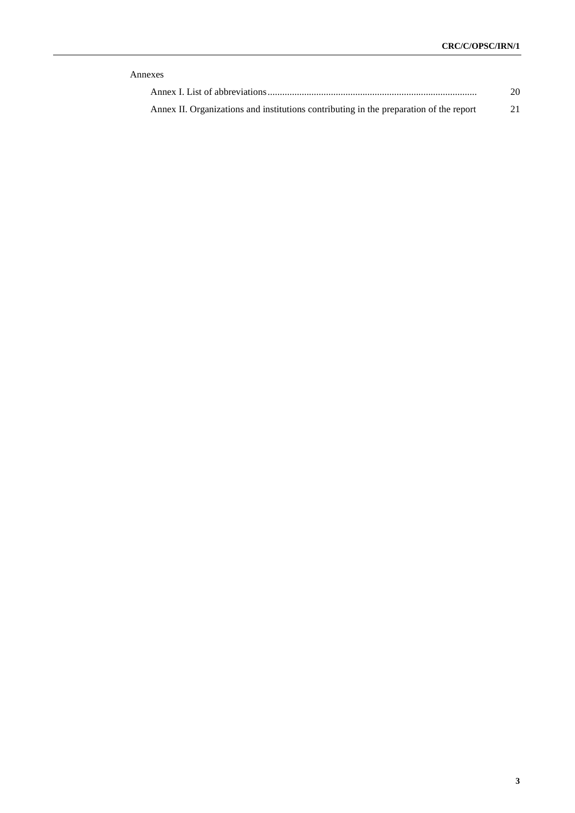| Annexes                                                                                |     |  |  |  |
|----------------------------------------------------------------------------------------|-----|--|--|--|
|                                                                                        | 20. |  |  |  |
| Annex II. Organizations and institutions contributing in the preparation of the report | 21  |  |  |  |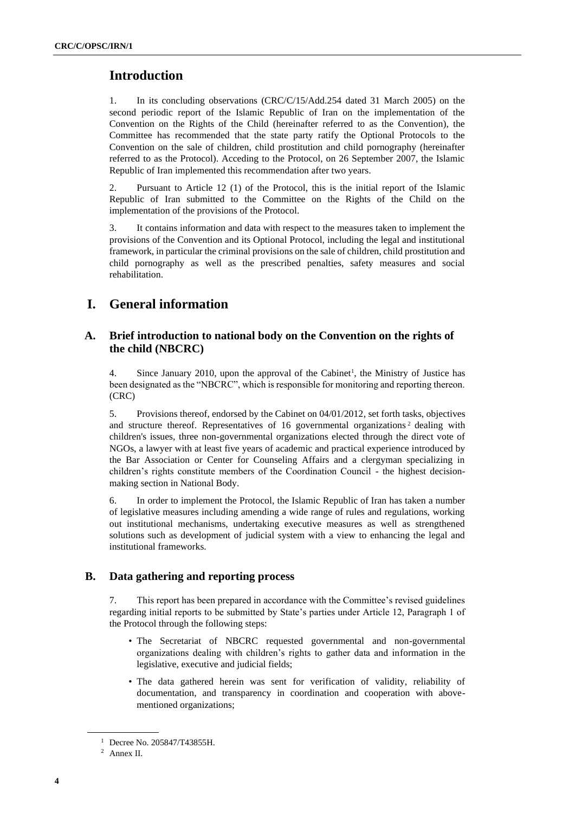## **Introduction**

1. In its concluding observations (CRC/C/15/Add.254 dated 31 March 2005) on the second periodic report of the Islamic Republic of Iran on the implementation of the Convention on the Rights of the Child (hereinafter referred to as the Convention), the Committee has recommended that the state party ratify the Optional Protocols to the Convention on the sale of children, child prostitution and child pornography (hereinafter referred to as the Protocol). Acceding to the Protocol, on 26 September 2007, the Islamic Republic of Iran implemented this recommendation after two years.

2. Pursuant to Article 12 (1) of the Protocol, this is the initial report of the Islamic Republic of Iran submitted to the Committee on the Rights of the Child on the implementation of the provisions of the Protocol.

3. It contains information and data with respect to the measures taken to implement the provisions of the Convention and its Optional Protocol, including the legal and institutional framework, in particular the criminal provisions on the sale of children, child prostitution and child pornography as well as the prescribed penalties, safety measures and social rehabilitation.

## **I. General information**

## **A. Brief introduction to national body on the Convention on the rights of the child (NBCRC)**

4. Since January 2010, upon the approval of the Cabinet<sup>1</sup>, the Ministry of Justice has been designated as the "NBCRC", which is responsible for monitoring and reporting thereon. (CRC)

5. Provisions thereof, endorsed by the Cabinet on 04/01/2012, set forth tasks, objectives and structure thereof. Representatives of 16 governmental organizations<sup>2</sup> dealing with children's issues, three non-governmental organizations elected through the direct vote of NGOs, a lawyer with at least five years of academic and practical experience introduced by the Bar Association or Center for Counseling Affairs and a clergyman specializing in children's rights constitute members of the Coordination Council - the highest decisionmaking section in National Body.

6. In order to implement the Protocol, the Islamic Republic of Iran has taken a number of legislative measures including amending a wide range of rules and regulations, working out institutional mechanisms, undertaking executive measures as well as strengthened solutions such as development of judicial system with a view to enhancing the legal and institutional frameworks.

## **B. Data gathering and reporting process**

This report has been prepared in accordance with the Committee's revised guidelines regarding initial reports to be submitted by State's parties under Article 12, Paragraph 1 of the Protocol through the following steps:

- The Secretariat of NBCRC requested governmental and non-governmental organizations dealing with children's rights to gather data and information in the legislative, executive and judicial fields;
- The data gathered herein was sent for verification of validity, reliability of documentation, and transparency in coordination and cooperation with abovementioned organizations;

<sup>1</sup> Decree No. 205847/T43855H.

<sup>2</sup> Annex II.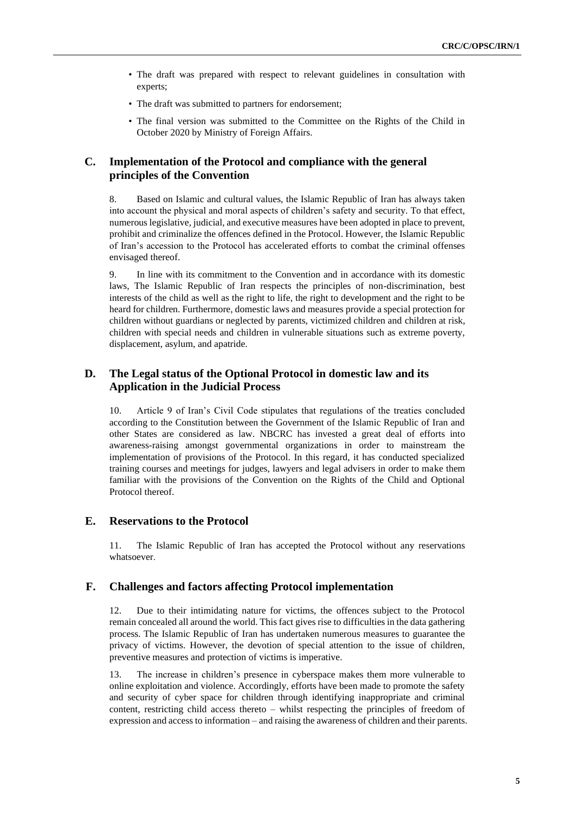- The draft was prepared with respect to relevant guidelines in consultation with experts;
- The draft was submitted to partners for endorsement;
- The final version was submitted to the Committee on the Rights of the Child in October 2020 by Ministry of Foreign Affairs.

## **C. Implementation of the Protocol and compliance with the general principles of the Convention**

8. Based on Islamic and cultural values, the Islamic Republic of Iran has always taken into account the physical and moral aspects of children's safety and security. To that effect, numerous legislative, judicial, and executive measures have been adopted in place to prevent, prohibit and criminalize the offences defined in the Protocol. However, the Islamic Republic of Iran's accession to the Protocol has accelerated efforts to combat the criminal offenses envisaged thereof.

9. In line with its commitment to the Convention and in accordance with its domestic laws, The Islamic Republic of Iran respects the principles of non-discrimination, best interests of the child as well as the right to life, the right to development and the right to be heard for children. Furthermore, domestic laws and measures provide a special protection for children without guardians or neglected by parents, victimized children and children at risk, children with special needs and children in vulnerable situations such as extreme poverty, displacement, asylum, and apatride.

## **D. The Legal status of the Optional Protocol in domestic law and its Application in the Judicial Process**

10. Article 9 of Iran's Civil Code stipulates that regulations of the treaties concluded according to the Constitution between the Government of the Islamic Republic of Iran and other States are considered as law. NBCRC has invested a great deal of efforts into awareness-raising amongst governmental organizations in order to mainstream the implementation of provisions of the Protocol. In this regard, it has conducted specialized training courses and meetings for judges, lawyers and legal advisers in order to make them familiar with the provisions of the Convention on the Rights of the Child and Optional Protocol thereof.

## **E. Reservations to the Protocol**

11. The Islamic Republic of Iran has accepted the Protocol without any reservations whatsoever.

## **F. Challenges and factors affecting Protocol implementation**

12. Due to their intimidating nature for victims, the offences subject to the Protocol remain concealed all around the world. This fact gives rise to difficulties in the data gathering process. The Islamic Republic of Iran has undertaken numerous measures to guarantee the privacy of victims. However, the devotion of special attention to the issue of children, preventive measures and protection of victims is imperative.

13. The increase in children's presence in cyberspace makes them more vulnerable to online exploitation and violence. Accordingly, efforts have been made to promote the safety and security of cyber space for children through identifying inappropriate and criminal content, restricting child access thereto – whilst respecting the principles of freedom of expression and access to information – and raising the awareness of children and their parents.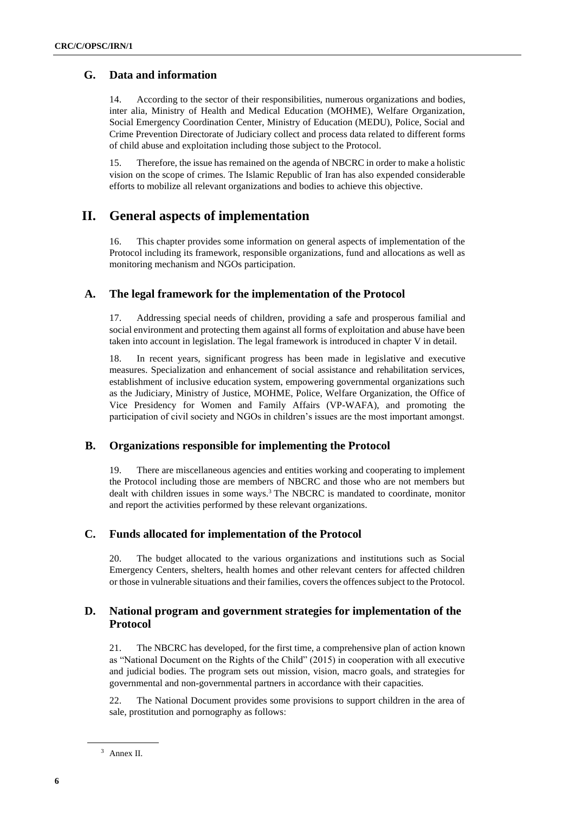## **G. Data and information**

14. According to the sector of their responsibilities, numerous organizations and bodies, inter alia, Ministry of Health and Medical Education (MOHME), Welfare Organization, Social Emergency Coordination Center, Ministry of Education (MEDU), Police, Social and Crime Prevention Directorate of Judiciary collect and process data related to different forms of child abuse and exploitation including those subject to the Protocol.

15. Therefore, the issue has remained on the agenda of NBCRC in order to make a holistic vision on the scope of crimes. The Islamic Republic of Iran has also expended considerable efforts to mobilize all relevant organizations and bodies to achieve this objective.

## **II. General aspects of implementation**

16. This chapter provides some information on general aspects of implementation of the Protocol including its framework, responsible organizations, fund and allocations as well as monitoring mechanism and NGOs participation.

### **A. The legal framework for the implementation of the Protocol**

17. Addressing special needs of children, providing a safe and prosperous familial and social environment and protecting them against all forms of exploitation and abuse have been taken into account in legislation. The legal framework is introduced in chapter V in detail.

18. In recent years, significant progress has been made in legislative and executive measures. Specialization and enhancement of social assistance and rehabilitation services, establishment of inclusive education system, empowering governmental organizations such as the Judiciary, Ministry of Justice, MOHME, Police, Welfare Organization, the Office of Vice Presidency for Women and Family Affairs (VP-WAFA), and promoting the participation of civil society and NGOs in children's issues are the most important amongst.

### **B. Organizations responsible for implementing the Protocol**

19. There are miscellaneous agencies and entities working and cooperating to implement the Protocol including those are members of NBCRC and those who are not members but dealt with children issues in some ways.<sup>3</sup> The NBCRC is mandated to coordinate, monitor and report the activities performed by these relevant organizations.

### **C. Funds allocated for implementation of the Protocol**

20. The budget allocated to the various organizations and institutions such as Social Emergency Centers, shelters, health homes and other relevant centers for affected children or those in vulnerable situations and their families, covers the offences subject to the Protocol.

## **D. National program and government strategies for implementation of the Protocol**

21. The NBCRC has developed, for the first time, a comprehensive plan of action known as "National Document on the Rights of the Child" (2015) in cooperation with all executive and judicial bodies. The program sets out mission, vision, macro goals, and strategies for governmental and non-governmental partners in accordance with their capacities.

22. The National Document provides some provisions to support children in the area of sale, prostitution and pornography as follows :

<sup>3</sup> Annex II.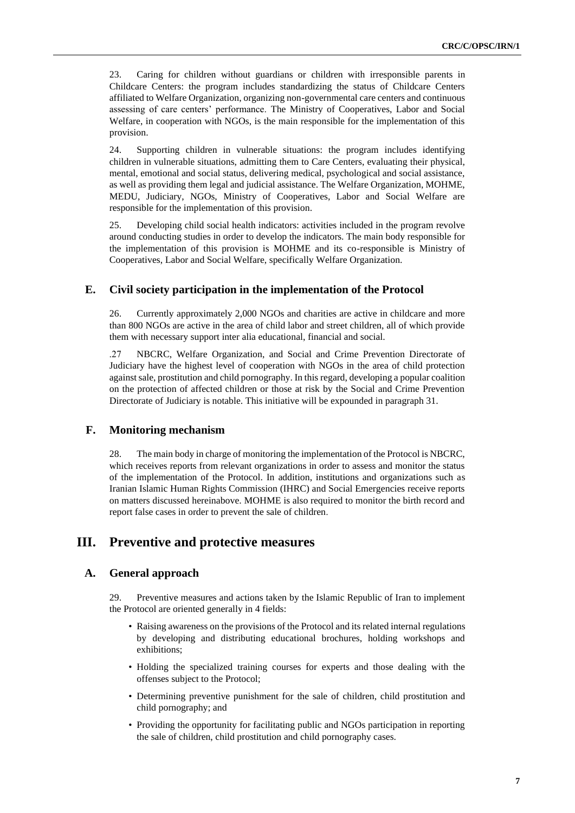23. Caring for children without guardians or children with irresponsible parents in Childcare Centers: the program includes standardizing the status of Childcare Centers affiliated to Welfare Organization, organizing non-governmental care centers and continuous assessing of care centers' performance. The Ministry of Cooperatives, Labor and Social Welfare, in cooperation with NGOs, is the main responsible for the implementation of this provision.

24. Supporting children in vulnerable situations: the program includes identifying children in vulnerable situations, admitting them to Care Centers, evaluating their physical, mental, emotional and social status, delivering medical, psychological and social assistance, as well as providing them legal and judicial assistance. The Welfare Organization, MOHME, MEDU, Judiciary, NGOs, Ministry of Cooperatives, Labor and Social Welfare are responsible for the implementation of this provision.

25. Developing child social health indicators: activities included in the program revolve around conducting studies in order to develop the indicators. The main body responsible for the implementation of this provision is MOHME and its co-responsible is Ministry of Cooperatives, Labor and Social Welfare, specifically Welfare Organization.

## **E. Civil society participation in the implementation of the Protocol**

26. Currently approximately 2,000 NGOs and charities are active in childcare and more than 800 NGOs are active in the area of child labor and street children, all of which provide them with necessary support inter alia educational, financial and social.

 .27 NBCRC, Welfare Organization, and Social and Crime Prevention Directorate of Judiciary have the highest level of cooperation with NGOs in the area of child protection against sale, prostitution and child pornography. In this regard, developing a popular coalition on the protection of affected children or those at risk by the Social and Crime Prevention Directorate of Judiciary is notable. This initiative will be expounded in paragraph 31.

## **F. Monitoring mechanism**

28. The main body in charge of monitoring the implementation of the Protocol is NBCRC, which receives reports from relevant organizations in order to assess and monitor the status of the implementation of the Protocol. In addition, institutions and organizations such as Iranian Islamic Human Rights Commission (IHRC) and Social Emergencies receive reports on matters discussed hereinabove. MOHME is also required to monitor the birth record and report false cases in order to prevent the sale of children.

## **III. Preventive and protective measures**

### **A. General approach**

29. Preventive measures and actions taken by the Islamic Republic of Iran to implement the Protocol are oriented generally in 4 fields:

- Raising awareness on the provisions of the Protocol and its related internal regulations by developing and distributing educational brochures, holding workshops and exhibitions;
- Holding the specialized training courses for experts and those dealing with the offenses subject to the Protocol;
- Determining preventive punishment for the sale of children, child prostitution and child pornography; and
- Providing the opportunity for facilitating public and NGOs participation in reporting the sale of children, child prostitution and child pornography cases.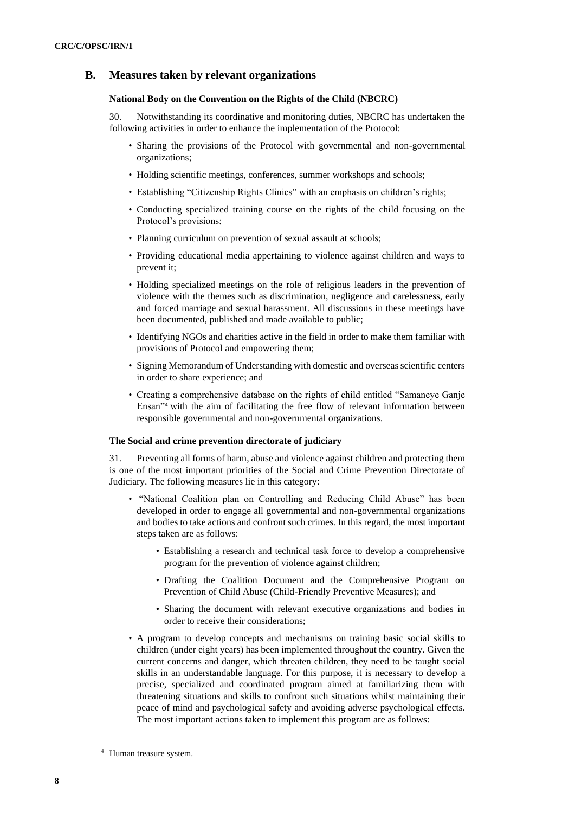## **B. Measures taken by relevant organizations**

#### **National Body on the Convention on the Rights of the Child (NBCRC)**

30. Notwithstanding its coordinative and monitoring duties, NBCRC has undertaken the following activities in order to enhance the implementation of the Protocol:

- Sharing the provisions of the Protocol with governmental and non-governmental organizations;
- Holding scientific meetings, conferences, summer workshops and schools;
- Establishing "Citizenship Rights Clinics" with an emphasis on children's rights;
- Conducting specialized training course on the rights of the child focusing on the Protocol's provisions;
- Planning curriculum on prevention of sexual assault at schools;
- Providing educational media appertaining to violence against children and ways to prevent it;
- Holding specialized meetings on the role of religious leaders in the prevention of violence with the themes such as discrimination, negligence and carelessness, early and forced marriage and sexual harassment. All discussions in these meetings have been documented, published and made available to public;
- Identifying NGOs and charities active in the field in order to make them familiar with provisions of Protocol and empowering them;
- Signing Memorandum of Understanding with domestic and overseas scientific centers in order to share experience; and
- Creating a comprehensive database on the rights of child entitled "Samaneye Ganje Ensan"<sup>4</sup> with the aim of facilitating the free flow of relevant information between responsible governmental and non-governmental organizations.

#### **The Social and crime prevention directorate of judiciary**

31. Preventing all forms of harm, abuse and violence against children and protecting them is one of the most important priorities of the Social and Crime Prevention Directorate of Judiciary. The following measures lie in this category:

- "National Coalition plan on Controlling and Reducing Child Abuse" has been developed in order to engage all governmental and non-governmental organizations and bodies to take actions and confront such crimes. In this regard, the most important steps taken are as follows:
	- Establishing a research and technical task force to develop a comprehensive program for the prevention of violence against children;
	- Drafting the Coalition Document and the Comprehensive Program on Prevention of Child Abuse (Child-Friendly Preventive Measures); and
	- Sharing the document with relevant executive organizations and bodies in order to receive their considerations;
- A program to develop concepts and mechanisms on training basic social skills to children (under eight years) has been implemented throughout the country. Given the current concerns and danger, which threaten children, they need to be taught social skills in an understandable language. For this purpose, it is necessary to develop a precise, specialized and coordinated program aimed at familiarizing them with threatening situations and skills to confront such situations whilst maintaining their peace of mind and psychological safety and avoiding adverse psychological effects. The most important actions taken to implement this program are as follows:

<sup>4</sup> Human treasure system.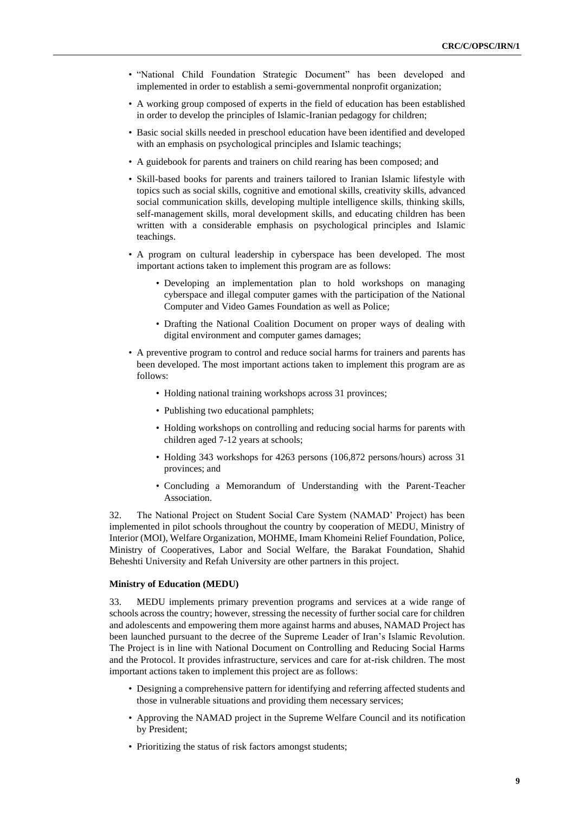- "National Child Foundation Strategic Document" has been developed and implemented in order to establish a semi-governmental nonprofit organization;
- A working group composed of experts in the field of education has been established in order to develop the principles of Islamic-Iranian pedagogy for children;
- Basic social skills needed in preschool education have been identified and developed with an emphasis on psychological principles and Islamic teachings;
- A guidebook for parents and trainers on child rearing has been composed; and
- Skill-based books for parents and trainers tailored to Iranian Islamic lifestyle with topics such as social skills, cognitive and emotional skills, creativity skills, advanced social communication skills, developing multiple intelligence skills, thinking skills, self-management skills, moral development skills, and educating children has been written with a considerable emphasis on psychological principles and Islamic teachings.
- A program on cultural leadership in cyberspace has been developed. The most important actions taken to implement this program are as follows:
	- Developing an implementation plan to hold workshops on managing cyberspace and illegal computer games with the participation of the National Computer and Video Games Foundation as well as Police;
	- Drafting the National Coalition Document on proper ways of dealing with digital environment and computer games damages;
- A preventive program to control and reduce social harms for trainers and parents has been developed. The most important actions taken to implement this program are as follows:
	- Holding national training workshops across 31 provinces;
	- Publishing two educational pamphlets;
	- Holding workshops on controlling and reducing social harms for parents with children aged 7-12 years at schools;
	- Holding 343 workshops for 4263 persons (106,872 persons/hours) across 31 provinces; and
	- Concluding a Memorandum of Understanding with the Parent-Teacher Association.

32. The National Project on Student Social Care System (NAMAD' Project) has been implemented in pilot schools throughout the country by cooperation of MEDU, Ministry of Interior (MOI), Welfare Organization, MOHME, Imam Khomeini Relief Foundation, Police, Ministry of Cooperatives, Labor and Social Welfare, the Barakat Foundation, Shahid Beheshti University and Refah University are other partners in this project.

#### **Ministry of Education (MEDU)**

33. MEDU implements primary prevention programs and services at a wide range of schools across the country; however, stressing the necessity of further social care for children and adolescents and empowering them more against harms and abuses, NAMAD Project has been launched pursuant to the decree of the Supreme Leader of Iran's Islamic Revolution. The Project is in line with National Document on Controlling and Reducing Social Harms and the Protocol. It provides infrastructure, services and care for at-risk children. The most important actions taken to implement this project are as follows :

- Designing a comprehensive pattern for identifying and referring affected students and those in vulnerable situations and providing them necessary services;
- Approving the NAMAD project in the Supreme Welfare Council and its notification by President;
- Prioritizing the status of risk factors amongst students;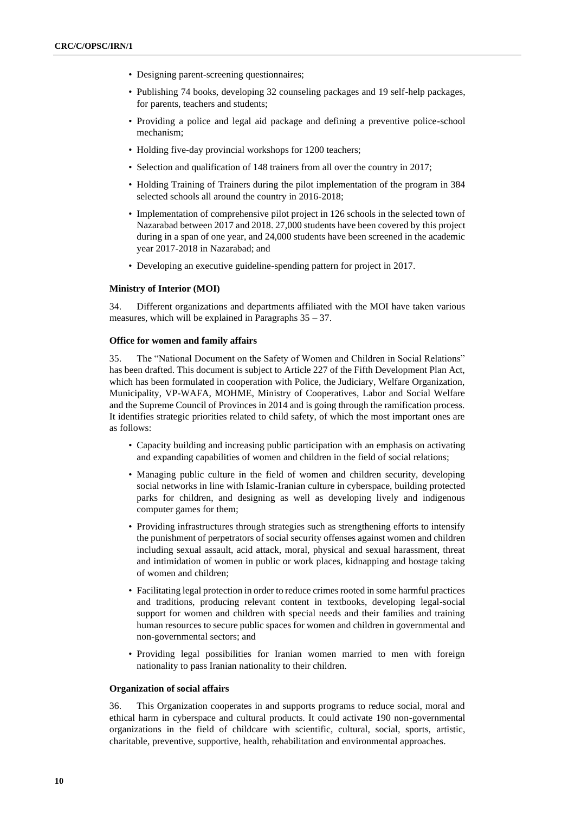- Designing parent-screening questionnaires;
- Publishing 74 books, developing 32 counseling packages and 19 self-help packages, for parents, teachers and students;
- Providing a police and legal aid package and defining a preventive police-school mechanism;
- Holding five-day provincial workshops for 1200 teachers;
- Selection and qualification of 148 trainers from all over the country in 2017;
- Holding Training of Trainers during the pilot implementation of the program in 384 selected schools all around the country in 2016-2018;
- Implementation of comprehensive pilot project in 126 schools in the selected town of Nazarabad between 2017 and 2018. 27,000 students have been covered by this project during in a span of one year, and 24,000 students have been screened in the academic year 2017-2018 in Nazarabad; and
- Developing an executive guideline-spending pattern for project in 2017 .

#### **Ministry of Interior (MOI)**

34. Different organizations and departments affiliated with the MOI have taken various measures, which will be explained in Paragraphs  $35 - 37$ .

#### **Office for women and family affairs**

35. The "National Document on the Safety of Women and Children in Social Relations" has been drafted. This document is subject to Article 227 of the Fifth Development Plan Act, which has been formulated in cooperation with Police, the Judiciary, Welfare Organization, Municipality, VP-WAFA, MOHME, Ministry of Cooperatives, Labor and Social Welfare and the Supreme Council of Provinces in 2014 and is going through the ramification process. It identifies strategic priorities related to child safety, of which the most important ones are as follows:

- Capacity building and increasing public participation with an emphasis on activating and expanding capabilities of women and children in the field of social relations;
- Managing public culture in the field of women and children security, developing social networks in line with Islamic-Iranian culture in cyberspace, building protected parks for children, and designing as well as developing lively and indigenous computer games for them;
- Providing infrastructures through strategies such as strengthening efforts to intensify the punishment of perpetrators of social security offenses against women and children including sexual assault, acid attack, moral, physical and sexual harassment, threat and intimidation of women in public or work places, kidnapping and hostage taking of women and children;
- Facilitating legal protection in order to reduce crimes rooted in some harmful practices and traditions, producing relevant content in textbooks, developing legal-social support for women and children with special needs and their families and training human resources to secure public spaces for women and children in governmental and non-governmental sectors; and
- Providing legal possibilities for Iranian women married to men with foreign nationality to pass Iranian nationality to their children.

#### **Organization of social affairs**

36. This Organization cooperates in and supports programs to reduce social, moral and ethical harm in cyberspace and cultural products. It could activate 190 non-governmental organizations in the field of childcare with scientific, cultural, social, sports, artistic, charitable, preventive, supportive, health, rehabilitation and environmental approaches.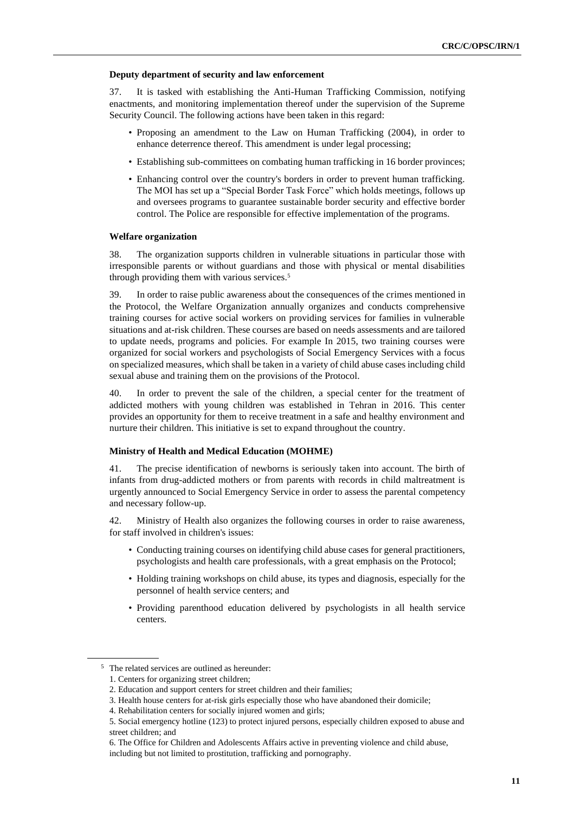#### **Deputy department of security and law enforcement**

37. It is tasked with establishing the Anti-Human Trafficking Commission, notifying enactments, and monitoring implementation thereof under the supervision of the Supreme Security Council. The following actions have been taken in this regard:

- Proposing an amendment to the Law on Human Trafficking (2004), in order to enhance deterrence thereof. This amendment is under legal processing;
- Establishing sub-committees on combating human trafficking in 16 border provinces;
- Enhancing control over the country's borders in order to prevent human trafficking. The MOI has set up a "Special Border Task Force" which holds meetings, follows up and oversees programs to guarantee sustainable border security and effective border control. The Police are responsible for effective implementation of the programs.

#### **Welfare organization**

38. The organization supports children in vulnerable situations in particular those with irresponsible parents or without guardians and those with physical or mental disabilities through providing them with various services.<sup>5</sup>

39. In order to raise public awareness about the consequences of the crimes mentioned in the Protocol, the Welfare Organization annually organizes and conducts comprehensive training courses for active social workers on providing services for families in vulnerable situations and at-risk children. These courses are based on needs assessments and are tailored to update needs, programs and policies. For example In 2015, two training courses were organized for social workers and psychologists of Social Emergency Services with a focus on specialized measures, which shall be taken in a variety of child abuse cases including child sexual abuse and training them on the provisions of the Protocol.

40. In order to prevent the sale of the children, a special center for the treatment of addicted mothers with young children was established in Tehran in 2016. This center provides an opportunity for them to receive treatment in a safe and healthy environment and nurture their children. This initiative is set to expand throughout the country.

#### **Ministry of Health and Medical Education (MOHME)**

41. The precise identification of newborns is seriously taken into account. The birth of infants from drug-addicted mothers or from parents with records in child maltreatment is urgently announced to Social Emergency Service in order to assess the parental competency and necessary follow-up.

42. Ministry of Health also organizes the following courses in order to raise awareness, for staff involved in children's issues:

- Conducting training courses on identifying child abuse cases for general practitioners, psychologists and health care professionals, with a great emphasis on the Protocol;
- Holding training workshops on child abuse, its types and diagnosis, especially for the personnel of health service centers; and
- Providing parenthood education delivered by psychologists in all health service centers.

<sup>5</sup> The related services are outlined as hereunder:

<sup>1.</sup> Centers for organizing street children;

<sup>2.</sup> Education and support centers for street children and their families;

<sup>3.</sup> Health house centers for at-risk girls especially those who have abandoned their domicile;

<sup>4.</sup> Rehabilitation centers for socially injured women and girls;

<sup>5.</sup> Social emergency hotline (123) to protect injured persons, especially children exposed to abuse and street children; and

<sup>6.</sup> The Office for Children and Adolescents Affairs active in preventing violence and child abuse, including but not limited to prostitution, trafficking and pornography.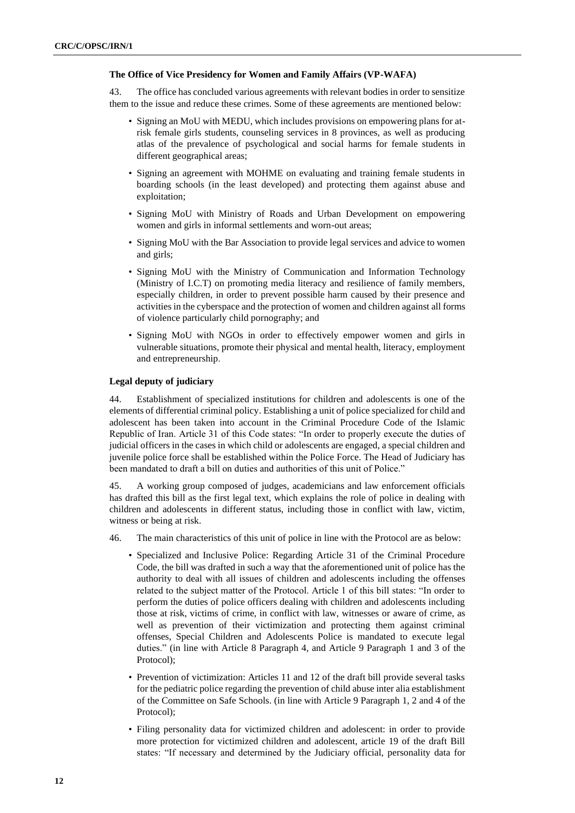#### **The Office of Vice Presidency for Women and Family Affairs (VP-WAFA)**

43. The office has concluded various agreements with relevant bodies in order to sensitize them to the issue and reduce these crimes. Some of these agreements are mentioned below:

- Signing an MoU with MEDU, which includes provisions on empowering plans for atrisk female girls students, counseling services in 8 provinces, as well as producing atlas of the prevalence of psychological and social harms for female students in different geographical areas;
- Signing an agreement with MOHME on evaluating and training female students in boarding schools (in the least developed) and protecting them against abuse and exploitation;
- Signing MoU with Ministry of Roads and Urban Development on empowering women and girls in informal settlements and worn-out areas;
- Signing MoU with the Bar Association to provide legal services and advice to women and girls;
- Signing MoU with the Ministry of Communication and Information Technology (Ministry of I.C.T) on promoting media literacy and resilience of family members, especially children, in order to prevent possible harm caused by their presence and activities in the cyberspace and the protection of women and children against all forms of violence particularly child pornography; and
- Signing MoU with NGOs in order to effectively empower women and girls in vulnerable situations, promote their physical and mental health, literacy, employment and entrepreneurship .

#### **Legal deputy of judiciary**

44. Establishment of specialized institutions for children and adolescents is one of the elements of differential criminal policy. Establishing a unit of police specialized for child and adolescent has been taken into account in the Criminal Procedure Code of the Islamic Republic of Iran. Article 31 of this Code states: "In order to properly execute the duties of judicial officers in the cases in which child or adolescents are engaged, a special children and juvenile police force shall be established within the Police Force. The Head of Judiciary has been mandated to draft a bill on duties and authorities of this unit of Police."

45. A working group composed of judges, academicians and law enforcement officials has drafted this bill as the first legal text, which explains the role of police in dealing with children and adolescents in different status, including those in conflict with law, victim, witness or being at risk.

- 46. The main characteristics of this unit of police in line with the Protocol are as below:
	- Specialized and Inclusive Police: Regarding Article 31 of the Criminal Procedure Code, the bill was drafted in such a way that the aforementioned unit of police has the authority to deal with all issues of children and adolescents including the offenses related to the subject matter of the Protocol. Article 1 of this bill states: "In order to perform the duties of police officers dealing with children and adolescents including those at risk, victims of crime, in conflict with law, witnesses or aware of crime, as well as prevention of their victimization and protecting them against criminal offenses, Special Children and Adolescents Police is mandated to execute legal duties." (in line with Article 8 Paragraph 4, and Article 9 Paragraph 1 and 3 of the Protocol);
	- Prevention of victimization: Articles 11 and 12 of the draft bill provide several tasks for the pediatric police regarding the prevention of child abuse inter alia establishment of the Committee on Safe Schools. (in line with Article 9 Paragraph 1, 2 and 4 of the Protocol);
	- Filing personality data for victimized children and adolescent: in order to provide more protection for victimized children and adolescent, article 19 of the draft Bill states: "If necessary and determined by the Judiciary official, personality data for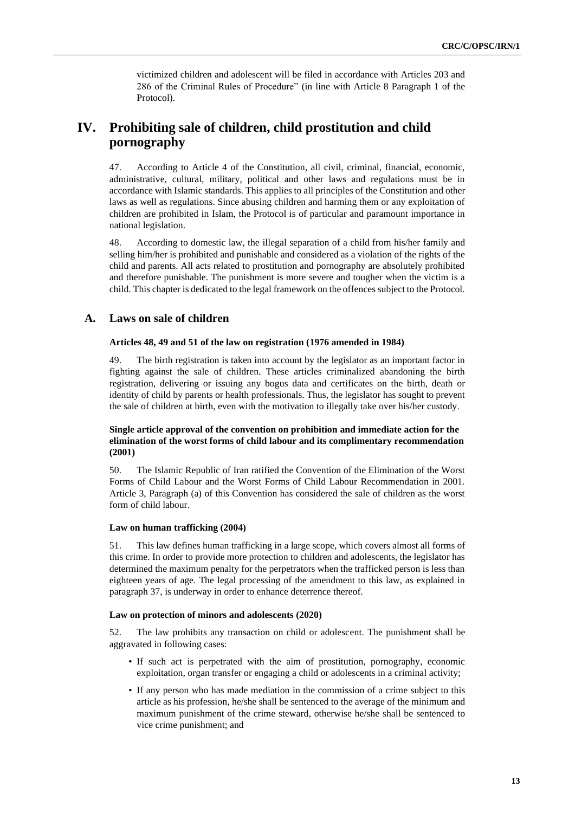victimized children and adolescent will be filed in accordance with Articles 203 and 286 of the Criminal Rules of Procedure" (in line with Article 8 Paragraph 1 of the Protocol).

## **IV. Prohibiting sale of children, child prostitution and child pornography**

47. According to Article 4 of the Constitution, all civil, criminal, financial, economic, administrative, cultural, military, political and other laws and regulations must be in accordance with Islamic standards. This applies to all principles of the Constitution and other laws as well as regulations. Since abusing children and harming them or any exploitation of children are prohibited in Islam, the Protocol is of particular and paramount importance in national legislation.

48. According to domestic law, the illegal separation of a child from his/her family and selling him/her is prohibited and punishable and considered as a violation of the rights of the child and parents. All acts related to prostitution and pornography are absolutely prohibited and therefore punishable. The punishment is more severe and tougher when the victim is a child. This chapter is dedicated to the legal framework on the offences subject to the Protocol.

## **A. Laws on sale of children**

#### **Articles 48, 49 and 51 of the law on registration (1976 amended in 1984)**

49. The birth registration is taken into account by the legislator as an important factor in fighting against the sale of children. These articles criminalized abandoning the birth registration, delivering or issuing any bogus data and certificates on the birth, death or identity of child by parents or health professionals. Thus, the legislator has sought to prevent the sale of children at birth, even with the motivation to illegally take over his/her custody .

### **Single article approval of the convention on prohibition and immediate action for the elimination of the worst forms of child labour and its complimentary recommendation (2001)**

50. The Islamic Republic of Iran ratified the Convention of the Elimination of the Worst Forms of Child Labour and the Worst Forms of Child Labour Recommendation in 2001. Article 3, Paragraph (a) of this Convention has considered the sale of children as the worst form of child labour.

#### **Law on human trafficking (2004)**

51. This law defines human trafficking in a large scope, which covers almost all forms of this crime. In order to provide more protection to children and adolescents, the legislator has determined the maximum penalty for the perpetrators when the trafficked person is less than eighteen years of age. The legal processing of the amendment to this law, as explained in paragraph 37, is underway in order to enhance deterrence thereof.

#### **Law on protection of minors and adolescents (2020)**

52. The law prohibits any transaction on child or adolescent. The punishment shall be aggravated in following cases:

- If such act is perpetrated with the aim of prostitution, pornography, economic exploitation, organ transfer or engaging a child or adolescents in a criminal activity;
- If any person who has made mediation in the commission of a crime subject to this article as his profession, he/she shall be sentenced to the average of the minimum and maximum punishment of the crime steward, otherwise he/she shall be sentenced to vice crime punishment; and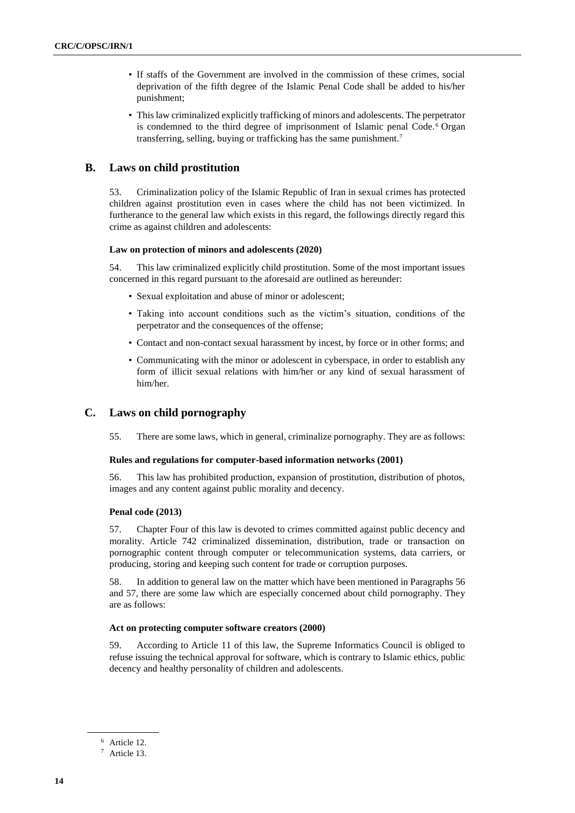- If staffs of the Government are involved in the commission of these crimes, social deprivation of the fifth degree of the Islamic Penal Code shall be added to his/her punishment;
- This law criminalized explicitly trafficking of minors and adolescents. The perpetrator is condemned to the third degree of imprisonment of Islamic penal Code. <sup>6</sup> Organ transferring, selling, buying or trafficking has the same punishment.<sup>7</sup>

### **B. Laws on child prostitution**

53. Criminalization policy of the Islamic Republic of Iran in sexual crimes has protected children against prostitution even in cases where the child has not been victimized. In furtherance to the general law which exists in this regard, the followings directly regard this crime as against children and adolescents:

#### **Law on protection of minors and adolescents (2020)**

54. This law criminalized explicitly child prostitution. Some of the most important issues concerned in this regard pursuant to the aforesaid are outlined as hereunder:

- Sexual exploitation and abuse of minor or adolescent;
- Taking into account conditions such as the victim's situation, conditions of the perpetrator and the consequences of the offense;
- Contact and non-contact sexual harassment by incest, by force or in other forms; and
- Communicating with the minor or adolescent in cyberspace, in order to establish any form of illicit sexual relations with him/her or any kind of sexual harassment of him/her.

## **C. Laws on child pornography**

55. There are some laws, which in general, criminalize pornography. They are as follows:

#### **Rules and regulations for computer-based information networks (2001)**

56. This law has prohibited production, expansion of prostitution, distribution of photos, images and any content against public morality and decency.

#### **Penal code (2013)**

57. Chapter Four of this law is devoted to crimes committed against public decency and morality. Article 742 criminalized dissemination, distribution, trade or transaction on pornographic content through computer or telecommunication systems, data carriers, or producing, storing and keeping such content for trade or corruption purposes.

58. In addition to general law on the matter which have been mentioned in Paragraphs 56 and 57, there are some law which are especially concerned about child pornography. They are as follows:

#### **Act on protecting computer software creators (2000)**

59. According to Article 11 of this law, the Supreme Informatics Council is obliged to refuse issuing the technical approval for software, which is contrary to Islamic ethics, public decency and healthy personality of children and adolescents.

<sup>6</sup> Article 12.

<sup>7</sup> Article 13.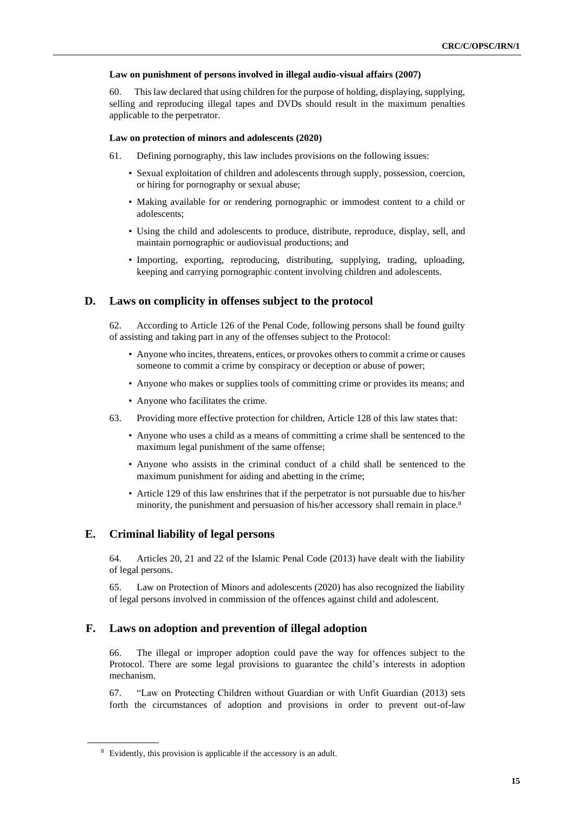#### **Law on punishment of persons involved in illegal audio-visual affairs (2007)**

60. This law declared that using children for the purpose of holding, displaying, supplying, selling and reproducing illegal tapes and DVDs should result in the maximum penalties applicable to the perpetrator.

#### **Law on protection of minors and adolescents (2020)**

- 61. Defining pornography, this law includes provisions on the following issues:
	- Sexual exploitation of children and adolescents through supply, possession, coercion, or hiring for pornography or sexual abuse;
	- Making available for or rendering pornographic or immodest content to a child or adolescents;
	- Using the child and adolescents to produce, distribute, reproduce, display, sell, and maintain pornographic or audiovisual productions; and
	- Importing, exporting, reproducing, distributing, supplying, trading, uploading, keeping and carrying pornographic content involving children and adolescents.

## **D. Laws on complicity in offenses subject to the protocol**

62. According to Article 126 of the Penal Code, following persons shall be found guilty of assisting and taking part in any of the offenses subject to the Protocol:

- Anyone who incites, threatens, entices, or provokes others to commit a crime or causes someone to commit a crime by conspiracy or deception or abuse of power;
- Anyone who makes or supplies tools of committing crime or provides its means; and
- Anyone who facilitates the crime.
- 63. Providing more effective protection for children, Article 128 of this law states that:
	- Anyone who uses a child as a means of committing a crime shall be sentenced to the maximum legal punishment of the same offense;
	- Anyone who assists in the criminal conduct of a child shall be sentenced to the maximum punishment for aiding and abetting in the crime;
	- Article 129 of this law enshrines that if the perpetrator is not pursuable due to his/her minority, the punishment and persuasion of his/her accessory shall remain in place.<sup>8</sup>

## **E. Criminal liability of legal persons**

64. Articles 20, 21 and 22 of the Islamic Penal Code (2013) have dealt with the liability of legal persons.

65. Law on Protection of Minors and adolescents (2020) has also recognized the liability of legal persons involved in commission of the offences against child and adolescent.

## **F. Laws on adoption and prevention of illegal adoption**

66. The illegal or improper adoption could pave the way for offences subject to the Protocol. There are some legal provisions to guarantee the child's interests in adoption mechanism.

67. "Law on Protecting Children without Guardian or with Unfit Guardian (2013) sets forth the circumstances of adoption and provisions in order to prevent out-of-law

<sup>8</sup> Evidently, this provision is applicable if the accessory is an adult.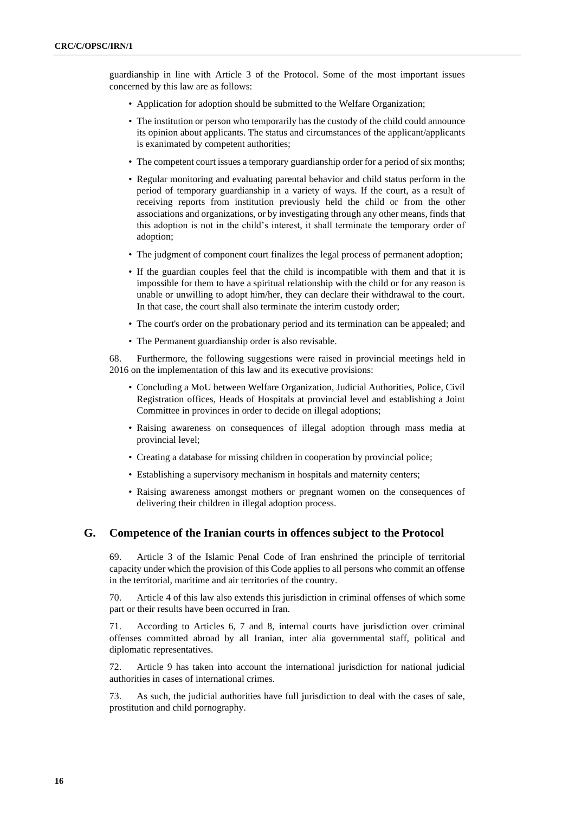guardianship in line with Article 3 of the Protocol. Some of the most important issues concerned by this law are as follows:

- Application for adoption should be submitted to the Welfare Organization;
- The institution or person who temporarily has the custody of the child could announce its opinion about applicants. The status and circumstances of the applicant/applicants is exanimated by competent authorities;
- The competent court issues a temporary guardianship order for a period of six months;
- Regular monitoring and evaluating parental behavior and child status perform in the period of temporary guardianship in a variety of ways. If the court, as a result of receiving reports from institution previously held the child or from the other associations and organizations, or by investigating through any other means, finds that this adoption is not in the child's interest, it shall terminate the temporary order of adoption;
- The judgment of component court finalizes the legal process of permanent adoption;
- If the guardian couples feel that the child is incompatible with them and that it is impossible for them to have a spiritual relationship with the child or for any reason is unable or unwilling to adopt him/her, they can declare their withdrawal to the court. In that case, the court shall also terminate the interim custody order;
- The court's order on the probationary period and its termination can be appealed; and
- The Permanent guardianship order is also revisable.

68. Furthermore, the following suggestions were raised in provincial meetings held in 2016 on the implementation of this law and its executive provisions:

- Concluding a MoU between Welfare Organization, Judicial Authorities, Police, Civil Registration offices, Heads of Hospitals at provincial level and establishing a Joint Committee in provinces in order to decide on illegal adoptions;
- Raising awareness on consequences of illegal adoption through mass media at provincial level;
- Creating a database for missing children in cooperation by provincial police;
- Establishing a supervisory mechanism in hospitals and maternity centers;
- Raising awareness amongst mothers or pregnant women on the consequences of delivering their children in illegal adoption process.

## **G. Competence of the Iranian courts in offences subject to the Protocol**

69. Article 3 of the Islamic Penal Code of Iran enshrined the principle of territorial capacity under which the provision of this Code applies to all persons who commit an offense in the territorial, maritime and air territories of the country.

70. Article 4 of this law also extends this jurisdiction in criminal offenses of which some part or their results have been occurred in Iran.

71. According to Articles 6, 7 and 8, internal courts have jurisdiction over criminal offenses committed abroad by all Iranian, inter alia governmental staff, political and diplomatic representatives.

72. Article 9 has taken into account the international jurisdiction for national judicial authorities in cases of international crimes.

73. As such, the judicial authorities have full jurisdiction to deal with the cases of sale, prostitution and child pornography.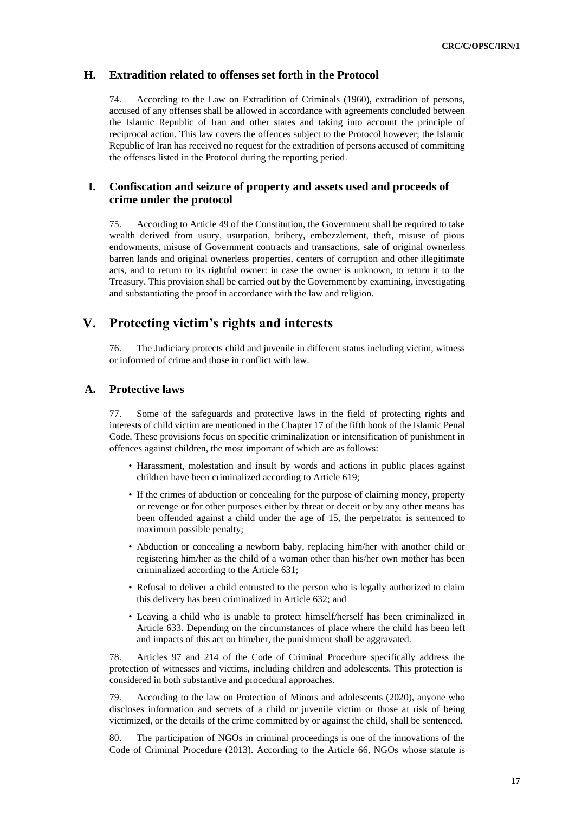## **H. Extradition related to offenses set forth in the Protocol**

74. According to the Law on Extradition of Criminals (1960), extradition of persons, accused of any offenses shall be allowed in accordance with agreements concluded between the Islamic Republic of Iran and other states and taking into account the principle of reciprocal action. This law covers the offences subject to the Protocol however; the Islamic Republic of Iran has received no request for the extradition of persons accused of committing the offenses listed in the Protocol during the reporting period.

### **I. Confiscation and seizure of property and assets used and proceeds of crime under the protocol**

75. According to Article 49 of the Constitution, the Government shall be required to take wealth derived from usury, usurpation, bribery, embezzlement, theft, misuse of pious endowments, misuse of Government contracts and transactions, sale of original ownerless barren lands and original ownerless properties, centers of corruption and other illegitimate acts, and to return to its rightful owner: in case the owner is unknown, to return it to the Treasury. This provision shall be carried out by the Government by examining, investigating and substantiating the proof in accordance with the law and religion.

## **V. Protecting victim's rights and interests**

76. The Judiciary protects child and juvenile in different status including victim, witness or informed of crime and those in conflict with law.

## **A. Protective laws**

77. Some of the safeguards and protective laws in the field of protecting rights and interests of child victim are mentioned in the Chapter 17 of the fifth book of the Islamic Penal Code. These provisions focus on specific criminalization or intensification of punishment in offences against children, the most important of which are as follows:

- Harassment, molestation and insult by words and actions in public places against children have been criminalized according to Article 619;
- If the crimes of abduction or concealing for the purpose of claiming money, property or revenge or for other purposes either by threat or deceit or by any other means has been offended against a child under the age of 15, the perpetrator is sentenced to maximum possible penalty;
- Abduction or concealing a newborn baby, replacing him/her with another child or registering him/her as the child of a woman other than his/her own mother has been criminalized according to the Article 631;
- Refusal to deliver a child entrusted to the person who is legally authorized to claim this delivery has been criminalized in Article 632; and
- Leaving a child who is unable to protect himself/herself has been criminalized in Article 633. Depending on the circumstances of place where the child has been left and impacts of this act on him/her, the punishment shall be aggravated.

78. Articles 97 and 214 of the Code of Criminal Procedure specifically address the protection of witnesses and victims, including children and adolescents. This protection is considered in both substantive and procedural approaches.

79. According to the law on Protection of Minors and adolescents (2020), anyone who discloses information and secrets of a child or juvenile victim or those at risk of being victimized, or the details of the crime committed by or against the child, shall be sentenced.

80. The participation of NGOs in criminal proceedings is one of the innovations of the Code of Criminal Procedure (2013). According to the Article 66, NGOs whose statute is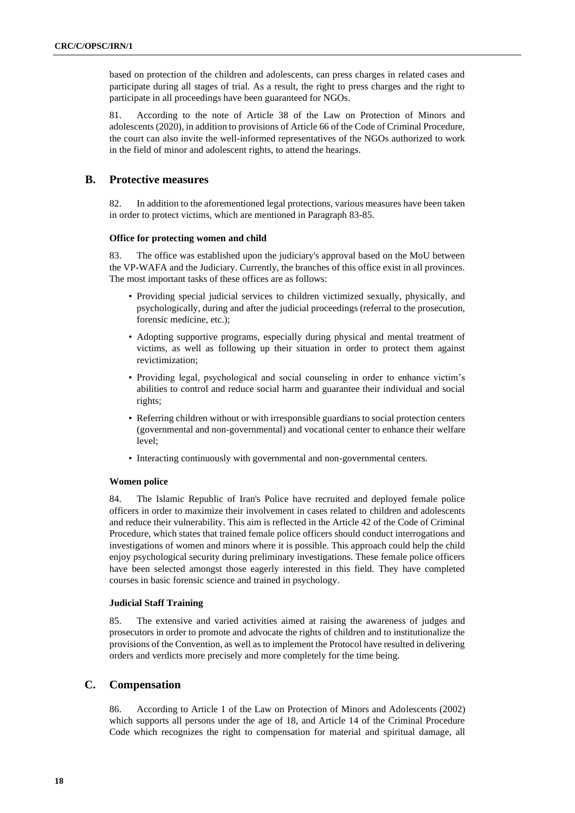based on protection of the children and adolescents, can press charges in related cases and participate during all stages of trial. As a result, the right to press charges and the right to participate in all proceedings have been guaranteed for NGOs.

81. According to the note of Article 38 of the Law on Protection of Minors and adolescents (2020), in addition to provisions of Article 66 of the Code of Criminal Procedure, the court can also invite the well-informed representatives of the NGOs authorized to work in the field of minor and adolescent rights, to attend the hearings.

### **B. Protective measures**

82. In addition to the aforementioned legal protections, various measures have been taken in order to protect victims, which are mentioned in Paragraph 83-85.

#### **Office for protecting women and child**

83. The office was established upon the judiciary's approval based on the MoU between the VP-WAFA and the Judiciary. Currently, the branches of this office exist in all provinces. The most important tasks of these offices are as follows:

- Providing special judicial services to children victimized sexually, physically, and psychologically, during and after the judicial proceedings (referral to the prosecution, forensic medicine, etc.);
- Adopting supportive programs, especially during physical and mental treatment of victims, as well as following up their situation in order to protect them against revictimization;
- Providing legal, psychological and social counseling in order to enhance victim's abilities to control and reduce social harm and guarantee their individual and social rights;
- Referring children without or with irresponsible guardians to social protection centers (governmental and non-governmental) and vocational center to enhance their welfare level;
- Interacting continuously with governmental and non-governmental centers.

#### **Women police**

84. The Islamic Republic of Iran's Police have recruited and deployed female police officers in order to maximize their involvement in cases related to children and adolescents and reduce their vulnerability. This aim is reflected in the Article 42 of the Code of Criminal Procedure, which states that trained female police officers should conduct interrogations and investigations of women and minors where it is possible. This approach could help the child enjoy psychological security during preliminary investigations. These female police officers have been selected amongst those eagerly interested in this field. They have completed courses in basic forensic science and trained in psychology.

#### **Judicial Staff Training**

85. The extensive and varied activities aimed at raising the awareness of judges and prosecutors in order to promote and advocate the rights of children and to institutionalize the provisions of the Convention, as well as to implement the Protocol have resulted in delivering orders and verdicts more precisely and more completely for the time being.

## **C. Compensation**

86. According to Article 1 of the Law on Protection of Minors and Adolescents (2002) which supports all persons under the age of 18, and Article 14 of the Criminal Procedure Code which recognizes the right to compensation for material and spiritual damage, all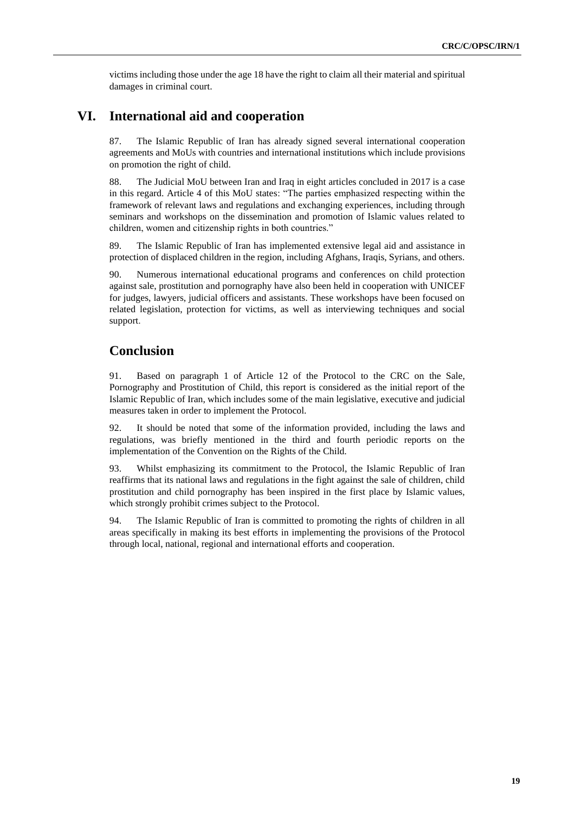victims including those under the age 18 have the right to claim all their material and spiritual damages in criminal court.

## **VI. International aid and cooperation**

87. The Islamic Republic of Iran has already signed several international cooperation agreements and MoUs with countries and international institutions which include provisions on promotion the right of child.

88. The Judicial MoU between Iran and Iraq in eight articles concluded in 2017 is a case in this regard. Article 4 of this MoU states: "The parties emphasized respecting within the framework of relevant laws and regulations and exchanging experiences, including through seminars and workshops on the dissemination and promotion of Islamic values related to children, women and citizenship rights in both countries."

89. The Islamic Republic of Iran has implemented extensive legal aid and assistance in protection of displaced children in the region, including Afghans, Iraqis, Syrians, and others.

90. Numerous international educational programs and conferences on child protection against sale, prostitution and pornography have also been held in cooperation with UNICEF for judges, lawyers, judicial officers and assistants. These workshops have been focused on related legislation, protection for victims, as well as interviewing techniques and social support.

## **Conclusion**

91. Based on paragraph 1 of Article 12 of the Protocol to the CRC on the Sale, Pornography and Prostitution of Child, this report is considered as the initial report of the Islamic Republic of Iran, which includes some of the main legislative, executive and judicial measures taken in order to implement the Protocol.

92. It should be noted that some of the information provided, including the laws and regulations, was briefly mentioned in the third and fourth periodic reports on the implementation of the Convention on the Rights of the Child.

93. Whilst emphasizing its commitment to the Protocol, the Islamic Republic of Iran reaffirms that its national laws and regulations in the fight against the sale of children, child prostitution and child pornography has been inspired in the first place by Islamic values, which strongly prohibit crimes subject to the Protocol.

94. The Islamic Republic of Iran is committed to promoting the rights of children in all areas specifically in making its best efforts in implementing the provisions of the Protocol through local, national, regional and international efforts and cooperation.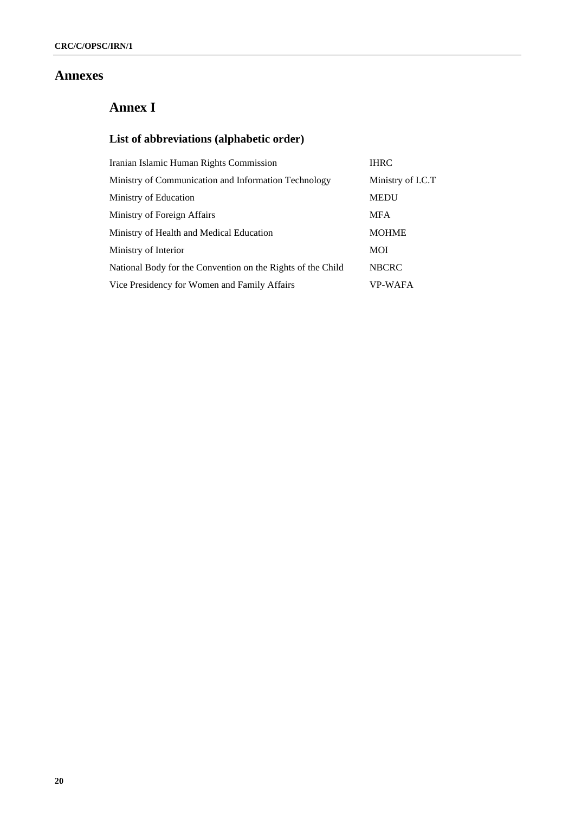## **Annexes**

# **Annex I**

# **List of abbreviations (alphabetic order)**

| Iranian Islamic Human Rights Commission                     | <b>IHRC</b>       |
|-------------------------------------------------------------|-------------------|
| Ministry of Communication and Information Technology        | Ministry of I.C.T |
| Ministry of Education                                       | <b>MEDU</b>       |
| Ministry of Foreign Affairs                                 | <b>MFA</b>        |
| Ministry of Health and Medical Education                    | <b>MOHME</b>      |
| Ministry of Interior                                        | MOI               |
| National Body for the Convention on the Rights of the Child | <b>NBCRC</b>      |
| Vice Presidency for Women and Family Affairs                | <b>VP-WAFA</b>    |